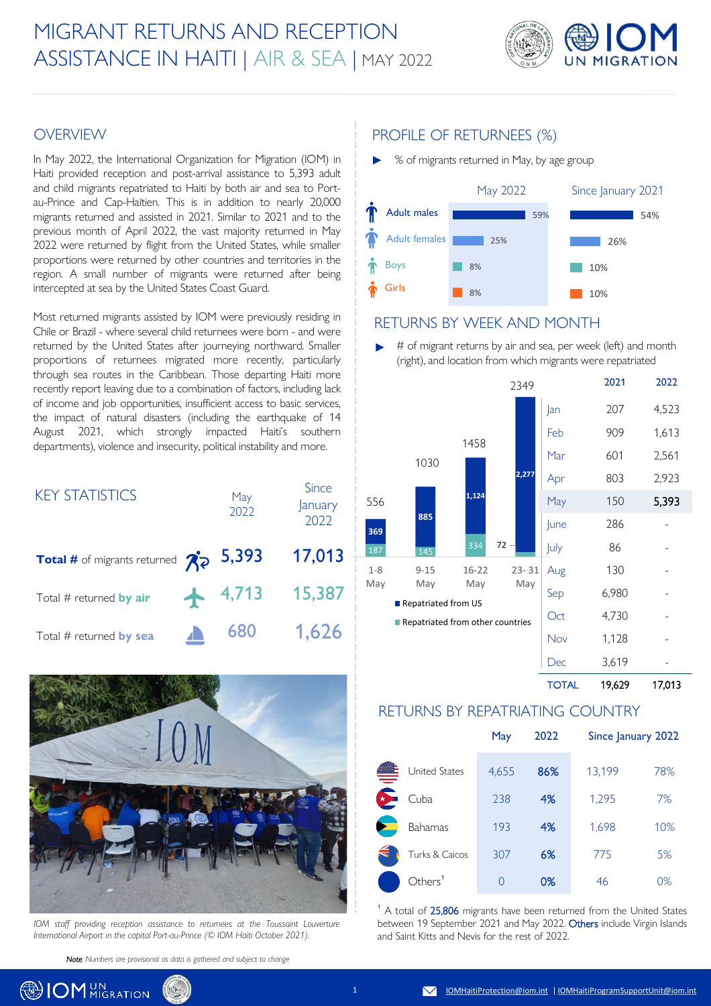# MIGRANT RETURNS AND RECEPTION ASSISTANCE IN HAITI | AIR & SEA | MAY 2022



### **OVERVIEW**

In May 2022, the International Organization for Migration (IOM) in Haiti provided reception and post-arrival assistance to 5,393 adult and child migrants repatriated to Haiti by both air and sea to Portau-Prince and Cap-Haïtien. This is in addition to nearly 20,000 migrants returned and assisted in 2021. Similar to 2021 and to the previous month of April 2022, the vast majority returned in May 2022 were returned by flight from the United States, while smaller proportions were returned by other countries and territories in the region. A small number of migrants were returned after being intercepted at sea by the United States Coast Guard.

Most returned migrants assisted by IOM were previously residing in Chile or Brazil - where several child returnees were born - and were returned by the United States after journeying northward. Smaller proportions of returnees migrated more recently, particularly through sea routes in the Caribbean. Those departing Haiti more recently report leaving due to a combination of factors, including lack of income and job opportunities, insufficient access to basic services, the impact of natural disasters (including the earthquake of 14 August 2021, which strongly impacted Haiti's southern departments), violence and insecurity, political instability and more.

| <b>KEY STATISTICS</b>                             | May<br>2022 | <b>Since</b><br>January<br>2022 |
|---------------------------------------------------|-------------|---------------------------------|
| <b>Total #</b> of migrants returned $\mathcal{R}$ | 5,393       | 17,013                          |
| Total # returned by air                           | $+ 4,713$   | 15,387                          |
| Total # returned by sea                           | 680         | 1,626                           |



*IOM staff providing reception assistance to returnees at the Toussaint Louverture International Airport in the capital Port-au-Prince (© IOM Haiti October 2021).*

*Note: Numbers are provisional as data is gathered and subject to change*

## PROFILE OF RETURNEES (%)

► % of migrants returned in May, by age group



#### RETURNS BY WEEK AND MONTH

# of migrant returns by air and sea, per week (left) and month (right), and location from which migrants were repatriated ►



#### TOTAL 19,629 17,013

#### RETURNS BY REPATRIATING COUNTRY

|                      | May   | 2022 | Since January 2022 |     |
|----------------------|-------|------|--------------------|-----|
| <b>United States</b> | 4,655 | 86%  | 13,199             | 78% |
| Cuba                 | 238   | 4%   | 1,295              | 7%  |
| Bahamas              | 193   | 4%   | 1,698              | 10% |
| Turks & Caicos       | 307   | 6%   | 775                | 5%  |
| Others <sup>1</sup>  | 0     | 0%   | 46                 | 0%  |

 $1$  A total of 25,806 migrants have been returned from the United States between 19 September 2021 and May 2022. Others include Virgin Islands and Saint Kitts and Nevis for the rest of 2022.